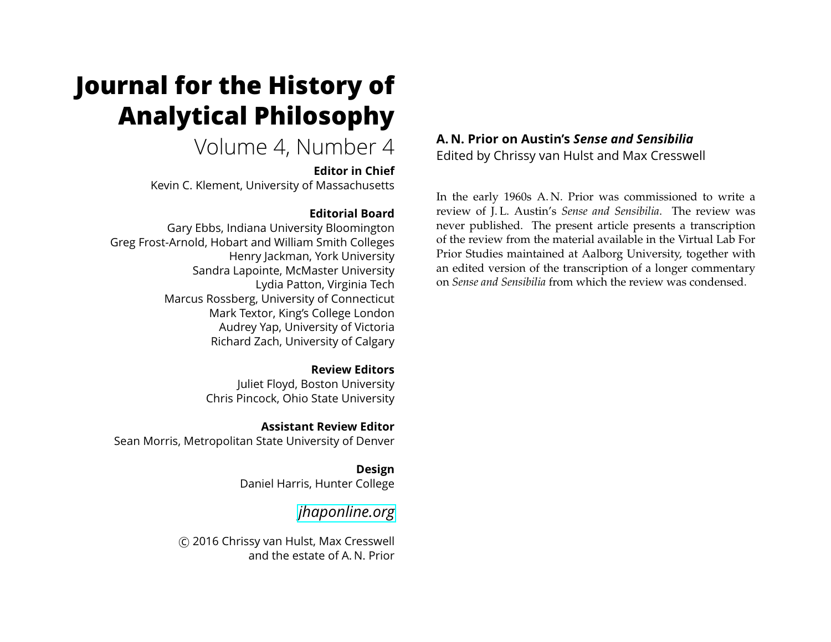# **Journal for the History of Analytical Philosophy**

Volume 4, Number 4

#### **Editor in Chief**

Kevin C. Klement, University of Massachusetts

# **Editorial Board**

Gary Ebbs, Indiana University Bloomington Greg Frost-Arnold, Hobart and William Smith Colleges Henry Jackman, York University Sandra Lapointe, McMaster University Lydia Patton, Virginia Tech Marcus Rossberg, University of Connecticut Mark Textor, King's College London Audrey Yap, University of Victoria Richard Zach, University of Calgary

### **Review Editors**

Juliet Floyd, Boston University Chris Pincock, Ohio State University

**Assistant Review Editor** Sean Morris, Metropolitan State University of Denver

> **Design** Daniel Harris, Hunter College

# *[jhaponline.org](https://jhaponline.org)*

(C) 2016 Chrissy van Hulst, Max Cresswell and the estate of A. N. Prior

# **A. N. Prior on Austin's** *Sense and Sensibilia* Edited by Chrissy van Hulst and Max Cresswell

In the early 1960s A. N. Prior was commissioned to write a review of J. L. Austin's *Sense and Sensibilia*. The review was never published. The present article presents a transcription of the review from the material available in the Virtual Lab For Prior Studies maintained at Aalborg University, together with an edited version of the transcription of a longer commentary on *Sense and Sensibilia* from which the review was condensed.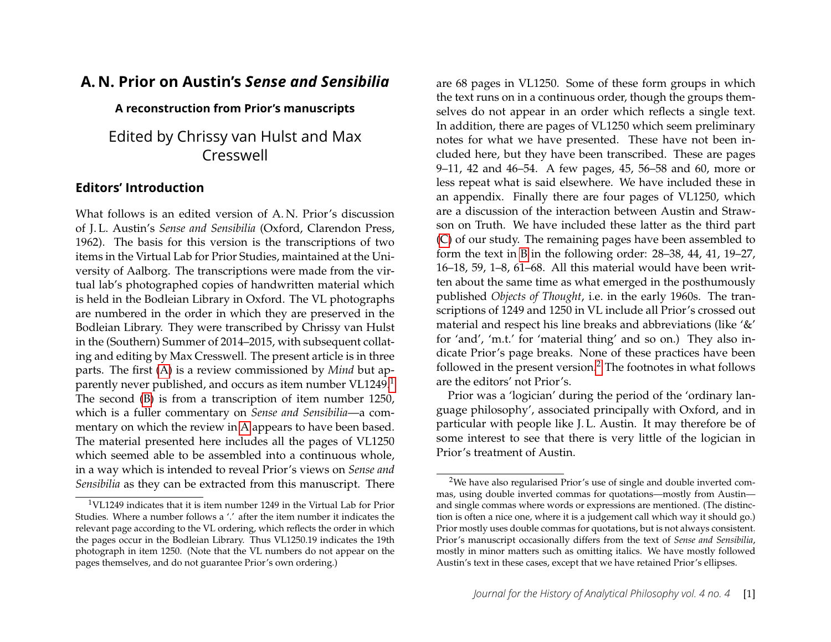# **A. N. Prior on Austin's** *Sense and Sensibilia*

#### **A reconstruction from Prior's manuscripts**

# Edited by Chrissy van Hulst and Max Cresswell

# **Editors' Introduction**

<span id="page-1-2"></span>What follows is an edited version of A.N. Prior's discussion of J. L. Austin's *Sense and Sensibilia* (Oxford, Clarendon Press, 1962). The basis for this version is the transcriptions of two items in the Virtual Lab for Prior Studies, maintained at the University of Aalborg. The transcriptions were made from the virtual lab's photographed copies of handwritten material which is held in the Bodleian Library in Oxford. The VL photographs are numbered in the order in which they are preserved in the Bodleian Library. They were transcribed by Chrissy van Hulst in the (Southern) Summer of 2014–2015, with subsequent collating and editing by Max Cresswell. The present article is in three parts. The first [\(A\)](#page-2-0) is a review commissioned by *Mind* but ap-parently never published, and occurs as item number VL[1](#page-1-0)249.<sup>1</sup> The second [\(B\)](#page-3-0) is from a transcription of item number 1250, which is a fuller commentary on *Sense and Sensibilia*—a commentary on which the review in [A](#page-2-0) appears to have been based. The material presented here includes all the pages of VL1250 which seemed able to be assembled into a continuous whole, in a way which is intended to reveal Prior's views on *Sense and Sensibilia* as they can be extracted from this manuscript. There are 68 pages in VL1250. Some of these form groups in which the text runs on in a continuous order, though the groups themselves do not appear in an order which reflects a single text. In addition, there are pages of VL1250 which seem preliminary notes for what we have presented. These have not been included here, but they have been transcribed. These are pages 9–11, 42 and 46–54. A few pages, 45, 56–58 and 60, more or less repeat what is said elsewhere. We have included these in an appendix. Finally there are four pages of VL1250, which are a discussion of the interaction between Austin and Strawson on Truth. We have included these latter as the third part [\(C\)](#page-10-0) of our study. The remaining pages have been assembled to form the text in [B](#page-3-0) in the following order: 28–38, 44, 41, 19–27, 16–18, 59, 1–8, 61–68. All this material would have been written about the same time as what emerged in the posthumously published *Objects of Thought*, i.e. in the early 1960s. The transcriptions of 1249 and 1250 in VL include all Prior's crossed out material and respect his line breaks and abbreviations (like '&' for 'and', 'm.t.' for 'material thing' and so on.) They also indicate Prior's page breaks. None of these practices have been followed in the present version.[2](#page-1-1) The footnotes in what follows are the editors' not Prior's.

Prior was a 'logician' during the period of the 'ordinary language philosophy', associated principally with Oxford, and in particular with people like J. L. Austin. It may therefore be of some interest to see that there is very little of the logician in Prior's treatment of Austin.

<span id="page-1-0"></span><sup>1</sup>VL1249 indicates that it is item number 1249 in the Virtual Lab for Prior Studies. Where a number follows a '.' after the item number it indicates the relevant page according to the VL ordering, which reflects the order in which the pages occur in the Bodleian Library. Thus VL1250.19 indicates the 19th photograph in item 1250. (Note that the VL numbers do not appear on the pages themselves, and do not guarantee Prior's own ordering.)

<span id="page-1-1"></span><sup>2</sup>We have also regularised Prior's use of single and double inverted commas, using double inverted commas for quotations—mostly from Austin and single commas where words or expressions are mentioned. (The distinction is often a nice one, where it is a judgement call which way it should go.) Prior mostly uses double commas for quotations, but is not always consistent. Prior's manuscript occasionally differs from the text of *Sense and Sensibilia*, mostly in minor matters such as omitting italics. We have mostly followed Austin's text in these cases, except that we have retained Prior's ellipses.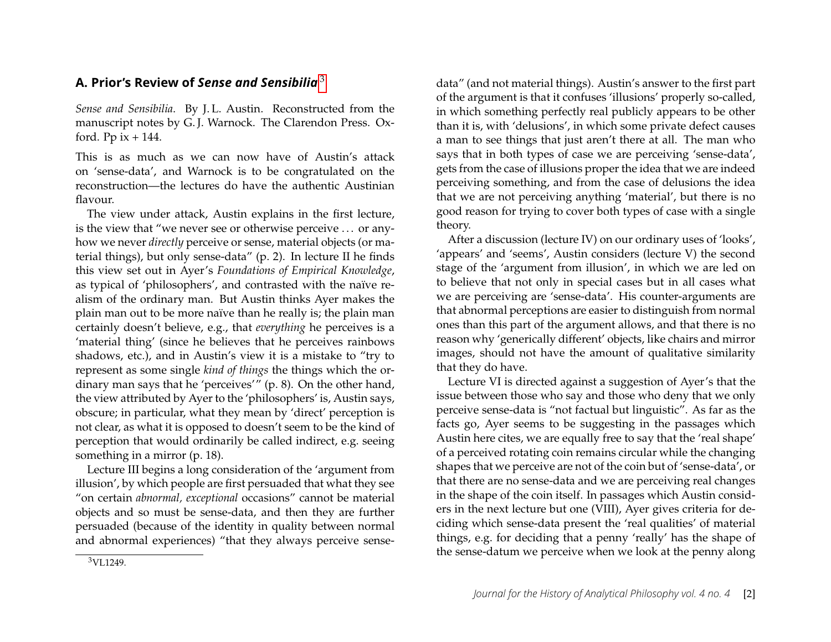# <span id="page-2-0"></span>**A. Prior's Review of** *Sense and Sensibilia* [3](#page-2-1)

*Sense and Sensibilia*. By J. L. Austin. Reconstructed from the manuscript notes by G. J. Warnock. The Clarendon Press. Oxford. Pp  $ix + 144$ .

This is as much as we can now have of Austin's attack on 'sense-data', and Warnock is to be congratulated on the reconstruction—the lectures do have the authentic Austinian flavour.

The view under attack, Austin explains in the first lecture, is the view that "we never see or otherwise perceive . . . or anyhow we never *directly* perceive or sense, material objects (or material things), but only sense-data" (p. 2). In lecture II he finds this view set out in Ayer's *Foundations of Empirical Knowledge*, as typical of 'philosophers', and contrasted with the naïve realism of the ordinary man. But Austin thinks Ayer makes the plain man out to be more naïve than he really is; the plain man certainly doesn't believe, e.g., that *everything* he perceives is a 'material thing' (since he believes that he perceives rainbows shadows, etc.), and in Austin's view it is a mistake to "try to represent as some single *kind of things* the things which the ordinary man says that he 'perceives'" (p. 8). On the other hand, the view attributed by Ayer to the 'philosophers' is, Austin says, obscure; in particular, what they mean by 'direct' perception is not clear, as what it is opposed to doesn't seem to be the kind of perception that would ordinarily be called indirect, e.g. seeing something in a mirror (p. 18).

Lecture III begins a long consideration of the 'argument from illusion', by which people are first persuaded that what they see "on certain *abnormal, exceptional* occasions" cannot be material objects and so must be sense-data, and then they are further persuaded (because of the identity in quality between normal and abnormal experiences) "that they always perceive sensedata" (and not material things). Austin's answer to the first part of the argument is that it confuses 'illusions' properly so-called, in which something perfectly real publicly appears to be other than it is, with 'delusions', in which some private defect causes a man to see things that just aren't there at all. The man who says that in both types of case we are perceiving 'sense-data', gets from the case of illusions proper the idea that we are indeed perceiving something, and from the case of delusions the idea that we are not perceiving anything 'material', but there is no good reason for trying to cover both types of case with a single theory.

After a discussion (lecture IV) on our ordinary uses of 'looks', 'appears' and 'seems', Austin considers (lecture V) the second stage of the 'argument from illusion', in which we are led on to believe that not only in special cases but in all cases what we are perceiving are 'sense-data'. His counter-arguments are that abnormal perceptions are easier to distinguish from normal ones than this part of the argument allows, and that there is no reason why 'generically different' objects, like chairs and mirror images, should not have the amount of qualitative similarity that they do have.

Lecture VI is directed against a suggestion of Ayer's that the issue between those who say and those who deny that we only perceive sense-data is "not factual but linguistic". As far as the facts go, Ayer seems to be suggesting in the passages which Austin here cites, we are equally free to say that the 'real shape' of a perceived rotating coin remains circular while the changing shapes that we perceive are not of the coin but of 'sense-data', or that there are no sense-data and we are perceiving real changes in the shape of the coin itself. In passages which Austin considers in the next lecture but one (VIII), Ayer gives criteria for deciding which sense-data present the 'real qualities' of material things, e.g. for deciding that a penny 'really' has the shape of the sense-datum we perceive when we look at the penny along

<span id="page-2-1"></span><sup>3</sup>VL1249.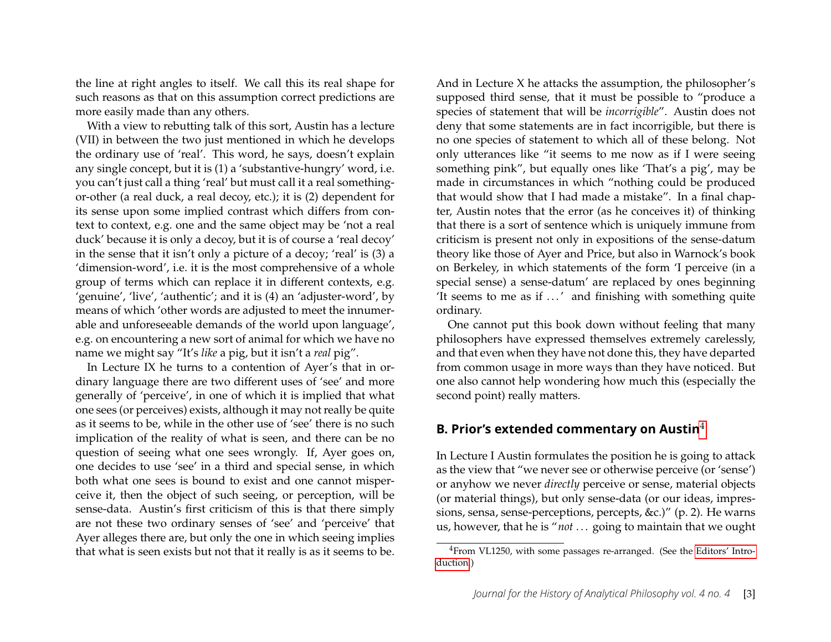the line at right angles to itself. We call this its real shape for such reasons as that on this assumption correct predictions are more easily made than any others.

With a view to rebutting talk of this sort, Austin has a lecture (VII) in between the two just mentioned in which he develops the ordinary use of 'real'. This word, he says, doesn't explain any single concept, but it is (1) a 'substantive-hungry' word, i.e. you can't just call a thing 'real' but must call it a real somethingor-other (a real duck, a real decoy, etc.); it is (2) dependent for its sense upon some implied contrast which differs from context to context, e.g. one and the same object may be 'not a real duck' because it is only a decoy, but it is of course a 'real decoy' in the sense that it isn't only a picture of a decoy; 'real' is (3) a 'dimension-word', i.e. it is the most comprehensive of a whole group of terms which can replace it in different contexts, e.g. 'genuine', 'live', 'authentic'; and it is (4) an 'adjuster-word', by means of which 'other words are adjusted to meet the innumerable and unforeseeable demands of the world upon language', e.g. on encountering a new sort of animal for which we have no name we might say "It's *like* a pig, but it isn't a *real* pig".

In Lecture IX he turns to a contention of Ayer's that in ordinary language there are two different uses of 'see' and more generally of 'perceive', in one of which it is implied that what one sees (or perceives) exists, although it may not really be quite as it seems to be, while in the other use of 'see' there is no such implication of the reality of what is seen, and there can be no question of seeing what one sees wrongly. If, Ayer goes on, one decides to use 'see' in a third and special sense, in which both what one sees is bound to exist and one cannot misperceive it, then the object of such seeing, or perception, will be sense-data. Austin's first criticism of this is that there simply are not these two ordinary senses of 'see' and 'perceive' that Ayer alleges there are, but only the one in which seeing implies that what is seen exists but not that it really is as it seems to be. And in Lecture X he attacks the assumption, the philosopher's supposed third sense, that it must be possible to "produce a species of statement that will be *incorrigible*". Austin does not deny that some statements are in fact incorrigible, but there is no one species of statement to which all of these belong. Not only utterances like "it seems to me now as if I were seeing something pink", but equally ones like 'That's a pig', may be made in circumstances in which "nothing could be produced that would show that I had made a mistake". In a final chapter, Austin notes that the error (as he conceives it) of thinking that there is a sort of sentence which is uniquely immune from criticism is present not only in expositions of the sense-datum theory like those of Ayer and Price, but also in Warnock's book on Berkeley, in which statements of the form 'I perceive (in a special sense) a sense-datum' are replaced by ones beginning 'It seems to me as if ...' and finishing with something quite ordinary.

One cannot put this book down without feeling that many philosophers have expressed themselves extremely carelessly, and that even when they have not done this, they have departed from common usage in more ways than they have noticed. But one also cannot help wondering how much this (especially the second point) really matters.

#### <span id="page-3-0"></span>**B. Prior's extended commentary on Austin**[4](#page-3-1)

In Lecture I Austin formulates the position he is going to attack as the view that "we never see or otherwise perceive (or 'sense') or anyhow we never *directly* perceive or sense, material objects (or material things), but only sense-data (or our ideas, impressions, sensa, sense-perceptions, percepts, &c.)" (p. 2). He warns us, however, that he is "*not* . . . going to maintain that we ought

<span id="page-3-1"></span><sup>4</sup>From VL1250, with some passages re-arranged. (See the [Editors' Intro](#page-1-2)[duction.](#page-1-2))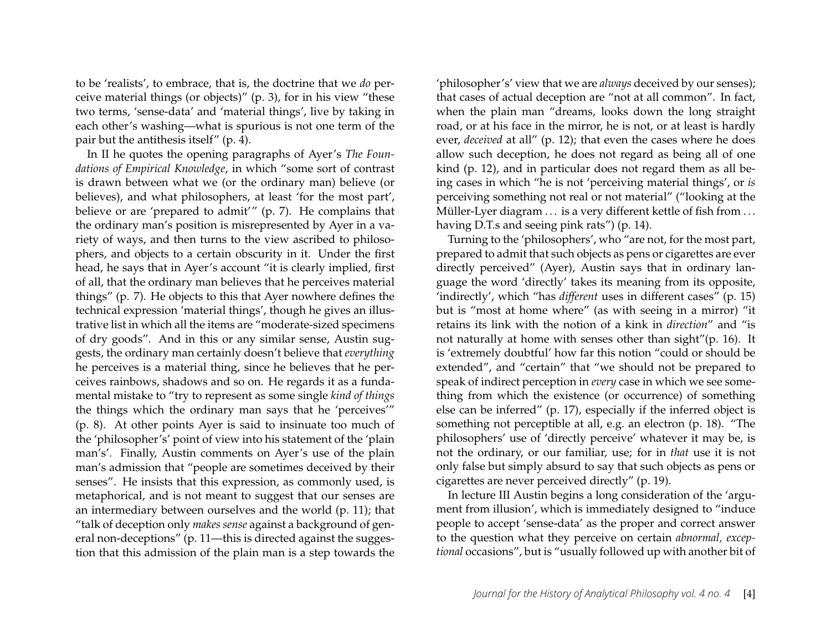to be 'realists', to embrace, that is, the doctrine that we *do* perceive material things (or objects)" (p. 3), for in his view "these two terms, 'sense-data' and 'material things', live by taking in each other's washing—what is spurious is not one term of the pair but the antithesis itself" (p. 4).

In II he quotes the opening paragraphs of Ayer's *The Foundations of Empirical Knowledge*, in which "some sort of contrast is drawn between what we (or the ordinary man) believe (or believes), and what philosophers, at least 'for the most part', believe or are 'prepared to admit'" (p. 7). He complains that the ordinary man's position is misrepresented by Ayer in a variety of ways, and then turns to the view ascribed to philosophers, and objects to a certain obscurity in it. Under the first head, he says that in Ayer's account "it is clearly implied, first of all, that the ordinary man believes that he perceives material things" (p. 7). He objects to this that Ayer nowhere defines the technical expression 'material things', though he gives an illustrative list in which all the items are "moderate-sized specimens of dry goods". And in this or any similar sense, Austin suggests, the ordinary man certainly doesn't believe that *everything* he perceives is a material thing, since he believes that he perceives rainbows, shadows and so on. He regards it as a fundamental mistake to "try to represent as some single *kind of things* the things which the ordinary man says that he 'perceives'" (p. 8). At other points Ayer is said to insinuate too much of the 'philosopher's' point of view into his statement of the 'plain man's'. Finally, Austin comments on Ayer's use of the plain man's admission that "people are sometimes deceived by their senses". He insists that this expression, as commonly used, is metaphorical, and is not meant to suggest that our senses are an intermediary between ourselves and the world (p. 11); that "talk of deception only *makes sense* against a background of general non-deceptions" (p. 11—this is directed against the suggestion that this admission of the plain man is a step towards the

'philosopher's' view that we are *always* deceived by our senses); that cases of actual deception are "not at all common". In fact, when the plain man "dreams, looks down the long straight road, or at his face in the mirror, he is not, or at least is hardly ever, *deceived* at all" (p. 12); that even the cases where he does allow such deception, he does not regard as being all of one kind (p. 12), and in particular does not regard them as all being cases in which "he is not 'perceiving material things', or *is* perceiving something not real or not material" ("looking at the Müller-Lyer diagram ... is a very different kettle of fish from ... having D.T.s and seeing pink rats") (p. 14).

Turning to the 'philosophers', who "are not, for the most part, prepared to admit that such objects as pens or cigarettes are ever directly perceived" (Ayer), Austin says that in ordinary language the word 'directly' takes its meaning from its opposite, 'indirectly', which "has *different* uses in different cases" (p. 15) but is "most at home where" (as with seeing in a mirror) "it retains its link with the notion of a kink in *direction*" and "is not naturally at home with senses other than sight"(p. 16). It is 'extremely doubtful' how far this notion "could or should be extended", and "certain" that "we should not be prepared to speak of indirect perception in *every* case in which we see something from which the existence (or occurrence) of something else can be inferred" (p. 17), especially if the inferred object is something not perceptible at all, e.g. an electron (p. 18). "The philosophers' use of 'directly perceive' whatever it may be, is not the ordinary, or our familiar, use; for in *that* use it is not only false but simply absurd to say that such objects as pens or cigarettes are never perceived directly" (p. 19).

In lecture III Austin begins a long consideration of the 'argument from illusion', which is immediately designed to "induce people to accept 'sense-data' as the proper and correct answer to the question what they perceive on certain *abnormal, exceptional* occasions", but is "usually followed up with another bit of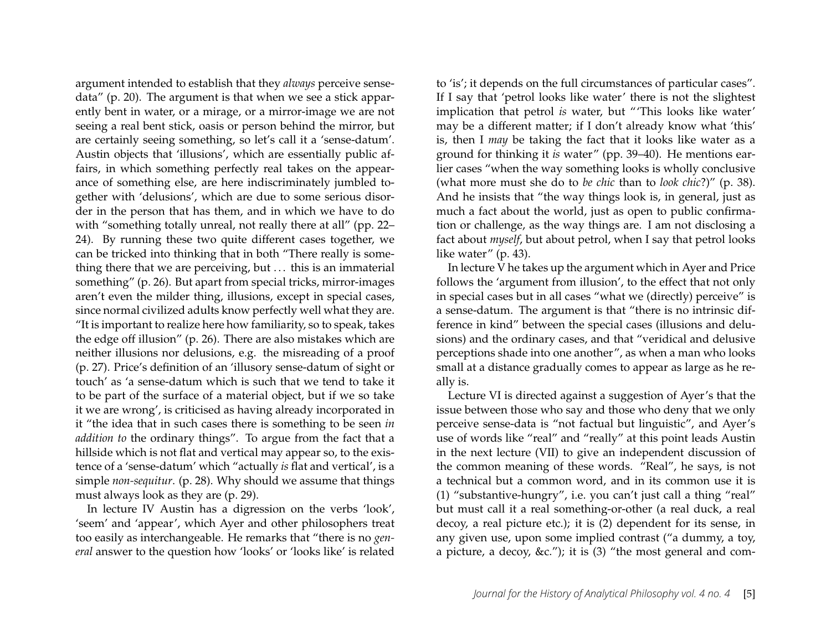argument intended to establish that they *always* perceive sensedata" (p. 20). The argument is that when we see a stick apparently bent in water, or a mirage, or a mirror-image we are not seeing a real bent stick, oasis or person behind the mirror, but are certainly seeing something, so let's call it a 'sense-datum'. Austin objects that 'illusions', which are essentially public affairs, in which something perfectly real takes on the appearance of something else, are here indiscriminately jumbled together with 'delusions', which are due to some serious disorder in the person that has them, and in which we have to do with "something totally unreal, not really there at all" (pp. 22– 24). By running these two quite different cases together, we can be tricked into thinking that in both "There really is something there that we are perceiving, but  $\dots$  this is an immaterial something" (p. 26). But apart from special tricks, mirror-images aren't even the milder thing, illusions, except in special cases, since normal civilized adults know perfectly well what they are. "It is important to realize here how familiarity, so to speak, takes the edge off illusion" (p. 26). There are also mistakes which are neither illusions nor delusions, e.g. the misreading of a proof (p. 27). Price's definition of an 'illusory sense-datum of sight or touch' as 'a sense-datum which is such that we tend to take it to be part of the surface of a material object, but if we so take it we are wrong', is criticised as having already incorporated in it "the idea that in such cases there is something to be seen *in addition to* the ordinary things". To argue from the fact that a hillside which is not flat and vertical may appear so, to the existence of a 'sense-datum' which "actually *is* flat and vertical', is a simple *non-sequitur*. (p. 28). Why should we assume that things must always look as they are (p. 29).

In lecture IV Austin has a digression on the verbs 'look', 'seem' and 'appear', which Ayer and other philosophers treat too easily as interchangeable. He remarks that "there is no *general* answer to the question how 'looks' or 'looks like' is related

to 'is'; it depends on the full circumstances of particular cases". If I say that 'petrol looks like water' there is not the slightest implication that petrol *is* water, but "'This looks like water' may be a different matter; if I don't already know what 'this' is, then I *may* be taking the fact that it looks like water as a ground for thinking it *is* water" (pp. 39–40). He mentions earlier cases "when the way something looks is wholly conclusive (what more must she do to *be chic* than to *look chic*?)" (p. 38). And he insists that "the way things look is, in general, just as much a fact about the world, just as open to public confirmation or challenge, as the way things are. I am not disclosing a fact about *myself*, but about petrol, when I say that petrol looks like water" (p. 43).

In lecture V he takes up the argument which in Ayer and Price follows the 'argument from illusion', to the effect that not only in special cases but in all cases "what we (directly) perceive" is a sense-datum. The argument is that "there is no intrinsic difference in kind" between the special cases (illusions and delusions) and the ordinary cases, and that "veridical and delusive perceptions shade into one another", as when a man who looks small at a distance gradually comes to appear as large as he really is.

Lecture VI is directed against a suggestion of Ayer's that the issue between those who say and those who deny that we only perceive sense-data is "not factual but linguistic", and Ayer's use of words like "real" and "really" at this point leads Austin in the next lecture (VII) to give an independent discussion of the common meaning of these words. "Real", he says, is not a technical but a common word, and in its common use it is (1) "substantive-hungry", i.e. you can't just call a thing "real" but must call it a real something-or-other (a real duck, a real decoy, a real picture etc.); it is (2) dependent for its sense, in any given use, upon some implied contrast ("a dummy, a toy, a picture, a decoy, &c."); it is (3) "the most general and com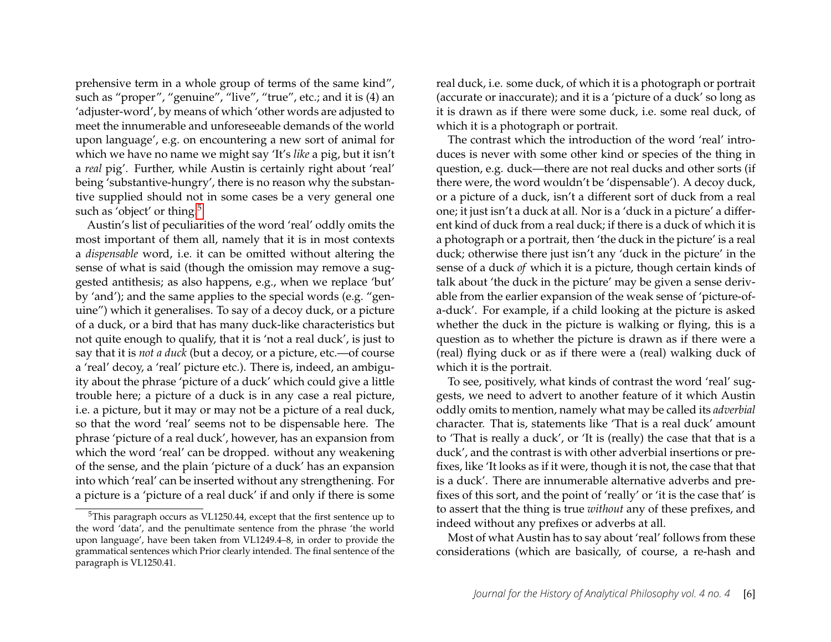prehensive term in a whole group of terms of the same kind", such as "proper", "genuine", "live", "true", etc.; and it is (4) an 'adjuster-word', by means of which 'other words are adjusted to meet the innumerable and unforeseeable demands of the world upon language', e.g. on encountering a new sort of animal for which we have no name we might say 'It's *like* a pig, but it isn't a *real* pig'. Further, while Austin is certainly right about 'real' being 'substantive-hungry', there is no reason why the substantive supplied should not in some cases be a very general one such as 'object' or thing.<sup>[5](#page-6-0)</sup>

Austin's list of peculiarities of the word 'real' oddly omits the most important of them all, namely that it is in most contexts a *dispensable* word, i.e. it can be omitted without altering the sense of what is said (though the omission may remove a suggested antithesis; as also happens, e.g., when we replace 'but' by 'and'); and the same applies to the special words (e.g. "genuine") which it generalises. To say of a decoy duck, or a picture of a duck, or a bird that has many duck-like characteristics but not quite enough to qualify, that it is 'not a real duck', is just to say that it is *not a duck* (but a decoy, or a picture, etc.—of course a 'real' decoy, a 'real' picture etc.). There is, indeed, an ambiguity about the phrase 'picture of a duck' which could give a little trouble here; a picture of a duck is in any case a real picture, i.e. a picture, but it may or may not be a picture of a real duck, so that the word 'real' seems not to be dispensable here. The phrase 'picture of a real duck', however, has an expansion from which the word 'real' can be dropped. without any weakening of the sense, and the plain 'picture of a duck' has an expansion into which 'real' can be inserted without any strengthening. For a picture is a 'picture of a real duck' if and only if there is some real duck, i.e. some duck, of which it is a photograph or portrait (accurate or inaccurate); and it is a 'picture of a duck' so long as it is drawn as if there were some duck, i.e. some real duck, of which it is a photograph or portrait.

The contrast which the introduction of the word 'real' introduces is never with some other kind or species of the thing in question, e.g. duck—there are not real ducks and other sorts (if there were, the word wouldn't be 'dispensable'). A decoy duck, or a picture of a duck, isn't a different sort of duck from a real one; it just isn't a duck at all. Nor is a 'duck in a picture' a different kind of duck from a real duck; if there is a duck of which it is a photograph or a portrait, then 'the duck in the picture' is a real duck; otherwise there just isn't any 'duck in the picture' in the sense of a duck *of* which it is a picture, though certain kinds of talk about 'the duck in the picture' may be given a sense derivable from the earlier expansion of the weak sense of 'picture-ofa-duck'. For example, if a child looking at the picture is asked whether the duck in the picture is walking or flying, this is a question as to whether the picture is drawn as if there were a (real) flying duck or as if there were a (real) walking duck of which it is the portrait.

To see, positively, what kinds of contrast the word 'real' suggests, we need to advert to another feature of it which Austin oddly omits to mention, namely what may be called its *adverbial* character. That is, statements like 'That is a real duck' amount to 'That is really a duck', or 'It is (really) the case that that is a duck', and the contrast is with other adverbial insertions or prefixes, like 'It looks as if it were, though it is not, the case that that is a duck'. There are innumerable alternative adverbs and prefixes of this sort, and the point of 'really' or 'it is the case that' is to assert that the thing is true *without* any of these prefixes, and indeed without any prefixes or adverbs at all.

Most of what Austin has to say about 'real' follows from these considerations (which are basically, of course, a re-hash and

<span id="page-6-0"></span><sup>5</sup>This paragraph occurs as VL1250.44, except that the first sentence up to the word 'data', and the penultimate sentence from the phrase 'the world upon language', have been taken from VL1249.4–8, in order to provide the grammatical sentences which Prior clearly intended. The final sentence of the paragraph is VL1250.41.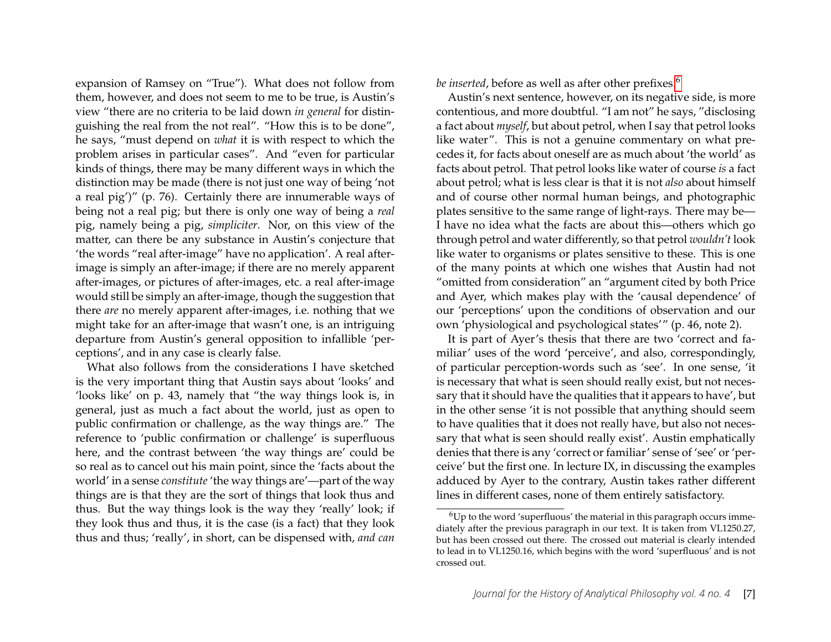expansion of Ramsey on "True"). What does not follow from them, however, and does not seem to me to be true, is Austin's view "there are no criteria to be laid down *in general* for distinguishing the real from the not real". "How this is to be done", he says, "must depend on *what* it is with respect to which the problem arises in particular cases". And "even for particular kinds of things, there may be many different ways in which the distinction may be made (there is not just one way of being 'not a real pig')" (p. 76). Certainly there are innumerable ways of being not a real pig; but there is only one way of being a *real* pig, namely being a pig, *simpliciter*. Nor, on this view of the matter, can there be any substance in Austin's conjecture that 'the words "real after-image" have no application'. A real afterimage is simply an after-image; if there are no merely apparent after-images, or pictures of after-images, etc. a real after-image would still be simply an after-image, though the suggestion that there *are* no merely apparent after-images, i.e. nothing that we might take for an after-image that wasn't one, is an intriguing departure from Austin's general opposition to infallible 'perceptions', and in any case is clearly false.

What also follows from the considerations I have sketched is the very important thing that Austin says about 'looks' and 'looks like' on p. 43, namely that "the way things look is, in general, just as much a fact about the world, just as open to public confirmation or challenge, as the way things are." The reference to 'public confirmation or challenge' is superfluous here, and the contrast between 'the way things are' could be so real as to cancel out his main point, since the 'facts about the world' in a sense *constitute* 'the way things are'—part of the way things are is that they are the sort of things that look thus and thus. But the way things look is the way they 'really' look; if they look thus and thus, it is the case (is a fact) that they look thus and thus; 'really', in short, can be dispensed with, *and can* *be inserted*, before as well as after other prefixes.<sup>[6](#page-7-0)</sup>

Austin's next sentence, however, on its negative side, is more contentious, and more doubtful. "I am not" he says, "disclosing a fact about *myself*, but about petrol, when I say that petrol looks like water". This is not a genuine commentary on what precedes it, for facts about oneself are as much about 'the world' as facts about petrol. That petrol looks like water of course *is* a fact about petrol; what is less clear is that it is not *also* about himself and of course other normal human beings, and photographic plates sensitive to the same range of light-rays. There may be— I have no idea what the facts are about this—others which go through petrol and water differently, so that petrol *wouldn't* look like water to organisms or plates sensitive to these. This is one of the many points at which one wishes that Austin had not "omitted from consideration" an "argument cited by both Price and Ayer, which makes play with the 'causal dependence' of our 'perceptions' upon the conditions of observation and our own 'physiological and psychological states'" (p. 46, note 2).

It is part of Ayer's thesis that there are two 'correct and familiar' uses of the word 'perceive', and also, correspondingly, of particular perception-words such as 'see'. In one sense, 'it is necessary that what is seen should really exist, but not necessary that it should have the qualities that it appears to have', but in the other sense 'it is not possible that anything should seem to have qualities that it does not really have, but also not necessary that what is seen should really exist'. Austin emphatically denies that there is any 'correct or familiar' sense of 'see' or 'perceive' but the first one. In lecture IX, in discussing the examples adduced by Ayer to the contrary, Austin takes rather different lines in different cases, none of them entirely satisfactory.

<span id="page-7-1"></span><span id="page-7-0"></span> $6$ Up to the word 'superfluous' the material in this paragraph occurs immediately after the previous paragraph in our text. It is taken from VL1250.27, but has been crossed out there. The crossed out material is clearly intended to lead in to VL1250.16, which begins with the word 'superfluous' and is not crossed out.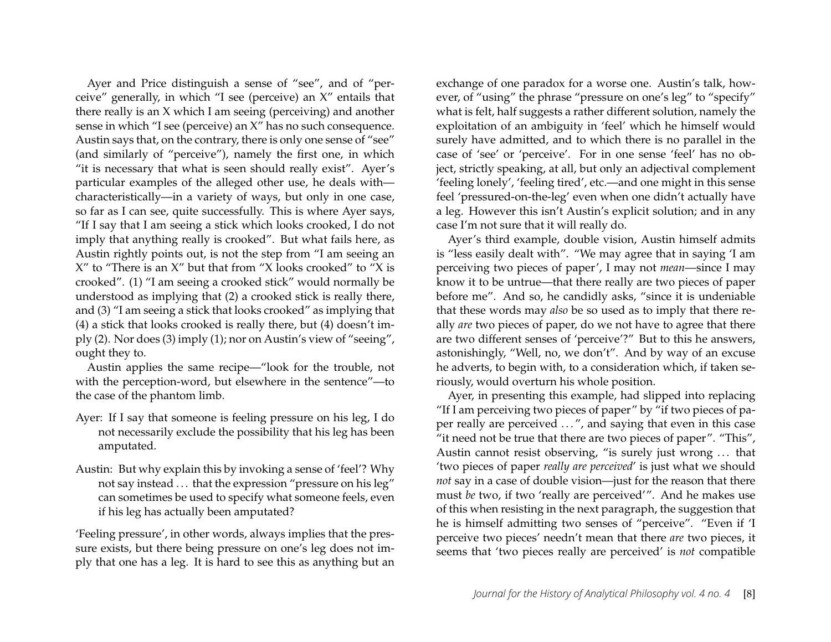Ayer and Price distinguish a sense of "see", and of "perceive" generally, in which "I see (perceive) an X" entails that there really is an X which I am seeing (perceiving) and another sense in which "I see (perceive) an X" has no such consequence. Austin says that, on the contrary, there is only one sense of "see" (and similarly of "perceive"), namely the first one, in which "it is necessary that what is seen should really exist". Ayer's particular examples of the alleged other use, he deals with characteristically—in a variety of ways, but only in one case, so far as I can see, quite successfully. This is where Ayer says, "If I say that I am seeing a stick which looks crooked, I do not imply that anything really is crooked". But what fails here, as Austin rightly points out, is not the step from "I am seeing an X" to "There is an X" but that from "X looks crooked" to "X is crooked". (1) "I am seeing a crooked stick" would normally be understood as implying that (2) a crooked stick is really there, and (3) "I am seeing a stick that looks crooked" as implying that (4) a stick that looks crooked is really there, but (4) doesn't imply (2). Nor does (3) imply (1); nor on Austin's view of "seeing", ought they to.

Austin applies the same recipe—"look for the trouble, not with the perception-word, but elsewhere in the sentence"—to the case of the phantom limb.

- Ayer: If I say that someone is feeling pressure on his leg, I do not necessarily exclude the possibility that his leg has been amputated.
- Austin: But why explain this by invoking a sense of 'feel'? Why not say instead . . . that the expression "pressure on his leg" can sometimes be used to specify what someone feels, even if his leg has actually been amputated?

'Feeling pressure', in other words, always implies that the pressure exists, but there being pressure on one's leg does not imply that one has a leg. It is hard to see this as anything but an

exchange of one paradox for a worse one. Austin's talk, however, of "using" the phrase "pressure on one's leg" to "specify" what is felt, half suggests a rather different solution, namely the exploitation of an ambiguity in 'feel' which he himself would surely have admitted, and to which there is no parallel in the case of 'see' or 'perceive'. For in one sense 'feel' has no object, strictly speaking, at all, but only an adjectival complement 'feeling lonely', 'feeling tired', etc.—and one might in this sense feel 'pressured-on-the-leg' even when one didn't actually have a leg. However this isn't Austin's explicit solution; and in any case I'm not sure that it will really do.

Ayer's third example, double vision, Austin himself admits is "less easily dealt with". "We may agree that in saying 'I am perceiving two pieces of paper', I may not *mean*—since I may know it to be untrue—that there really are two pieces of paper before me". And so, he candidly asks, "since it is undeniable that these words may *also* be so used as to imply that there really *are* two pieces of paper, do we not have to agree that there are two different senses of 'perceive'?" But to this he answers, astonishingly, "Well, no, we don't". And by way of an excuse he adverts, to begin with, to a consideration which, if taken seriously, would overturn his whole position.

Ayer, in presenting this example, had slipped into replacing "If I am perceiving two pieces of paper" by "if two pieces of paper really are perceived ...", and saying that even in this case "it need not be true that there are two pieces of paper". "This", Austin cannot resist observing, "is surely just wrong ... that 'two pieces of paper *really are perceived*' is just what we should *not* say in a case of double vision—just for the reason that there must *be* two, if two 'really are perceived'". And he makes use of this when resisting in the next paragraph, the suggestion that he is himself admitting two senses of "perceive". "Even if 'I perceive two pieces' needn't mean that there *are* two pieces, it seems that 'two pieces really are perceived' is *not* compatible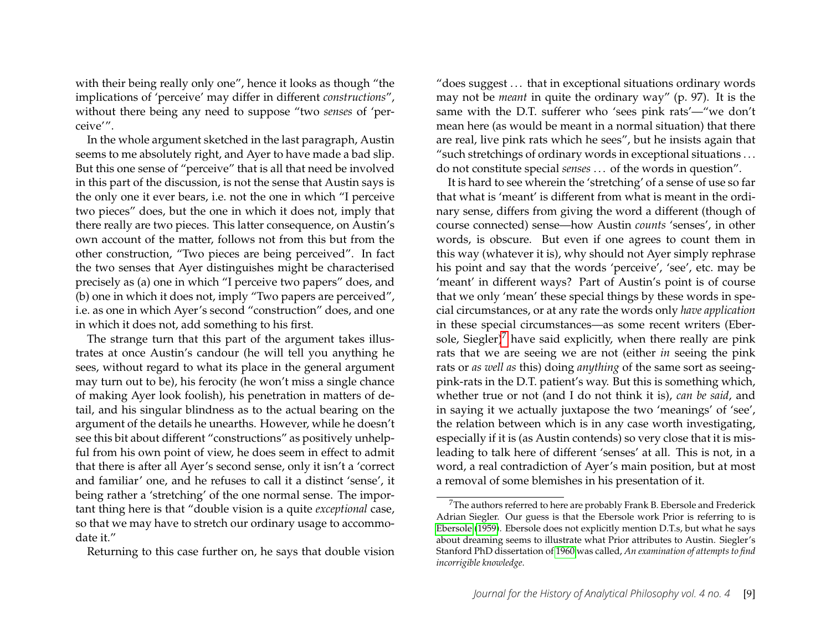with their being really only one", hence it looks as though "the implications of 'perceive' may differ in different *constructions*", without there being any need to suppose "two *senses* of 'perceive'".

In the whole argument sketched in the last paragraph, Austin seems to me absolutely right, and Ayer to have made a bad slip. But this one sense of "perceive" that is all that need be involved in this part of the discussion, is not the sense that Austin says is the only one it ever bears, i.e. not the one in which "I perceive two pieces" does, but the one in which it does not, imply that there really are two pieces. This latter consequence, on Austin's own account of the matter, follows not from this but from the other construction, "Two pieces are being perceived". In fact the two senses that Ayer distinguishes might be characterised precisely as (a) one in which "I perceive two papers" does, and (b) one in which it does not, imply "Two papers are perceived", i.e. as one in which Ayer's second "construction" does, and one in which it does not, add something to his first.

The strange turn that this part of the argument takes illustrates at once Austin's candour (he will tell you anything he sees, without regard to what its place in the general argument may turn out to be), his ferocity (he won't miss a single chance of making Ayer look foolish), his penetration in matters of detail, and his singular blindness as to the actual bearing on the argument of the details he unearths. However, while he doesn't see this bit about different "constructions" as positively unhelpful from his own point of view, he does seem in effect to admit that there is after all Ayer's second sense, only it isn't a 'correct and familiar' one, and he refuses to call it a distinct 'sense', it being rather a 'stretching' of the one normal sense. The important thing here is that "double vision is a quite *exceptional* case, so that we may have to stretch our ordinary usage to accommodate it."

Returning to this case further on, he says that double vision

"does suggest . . . that in exceptional situations ordinary words may not be *meant* in quite the ordinary way" (p. 97). It is the same with the D.T. sufferer who 'sees pink rats'—"we don't mean here (as would be meant in a normal situation) that there are real, live pink rats which he sees", but he insists again that "such stretchings of ordinary words in exceptional situations . . . do not constitute special *senses* . . . of the words in question".

It is hard to see wherein the 'stretching' of a sense of use so far that what is 'meant' is different from what is meant in the ordinary sense, differs from giving the word a different (though of course connected) sense—how Austin *counts* 'senses', in other words, is obscure. But even if one agrees to count them in this way (whatever it is), why should not Ayer simply rephrase his point and say that the words 'perceive', 'see', etc. may be 'meant' in different ways? Part of Austin's point is of course that we only 'mean' these special things by these words in special circumstances, or at any rate the words only *have application* in these special circumstances—as some recent writers (Eber-sole, Siegler)<sup>[7](#page-9-0)</sup> have said explicitly, when there really are pink rats that we are seeing we are not (either *in* seeing the pink rats or *as well as* this) doing *anything* of the same sort as seeingpink-rats in the D.T. patient's way. But this is something which, whether true or not (and I do not think it is), *can be said*, and in saying it we actually juxtapose the two 'meanings' of 'see', the relation between which is in any case worth investigating, especially if it is (as Austin contends) so very close that it is misleading to talk here of different 'senses' at all. This is not, in a word, a real contradiction of Ayer's main position, but at most a removal of some blemishes in his presentation of it.

<span id="page-9-0"></span> $7$ The authors referred to here are probably Frank B. Ebersole and Frederick Adrian Siegler. Our guess is that the Ebersole work Prior is referring to is [Ebersole \(1959\)](#page-12-0). Ebersole does not explicitly mention D.T.s, but what he says about dreaming seems to illustrate what Prior attributes to Austin. Siegler's Stanford PhD dissertation of [1960](#page-12-1) was called, *An examination of attempts to find incorrigible knowledge*.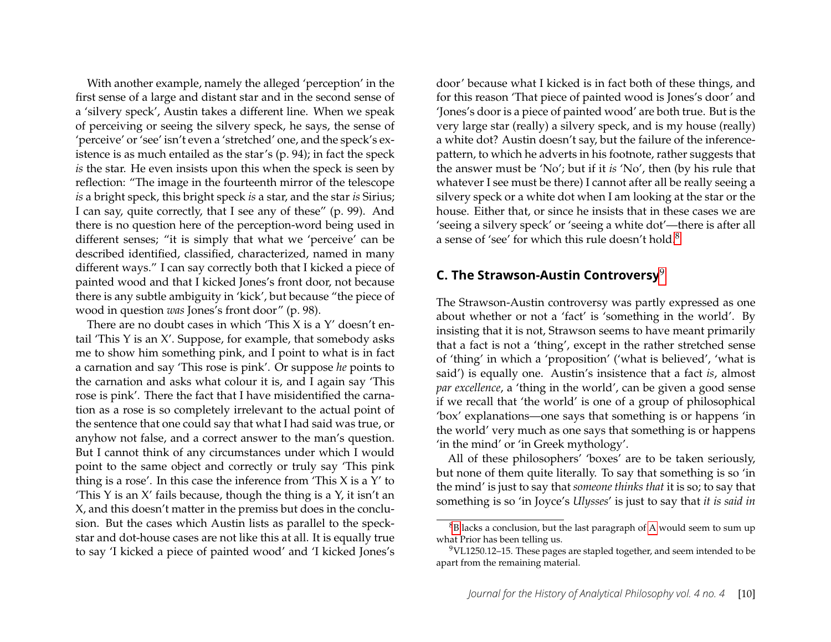With another example, namely the alleged 'perception' in the first sense of a large and distant star and in the second sense of a 'silvery speck', Austin takes a different line. When we speak of perceiving or seeing the silvery speck, he says, the sense of 'perceive' or 'see' isn't even a 'stretched' one, and the speck's existence is as much entailed as the star's (p. 94); in fact the speck *is* the star. He even insists upon this when the speck is seen by reflection: "The image in the fourteenth mirror of the telescope *is* a bright speck, this bright speck *is* a star, and the star *is* Sirius; I can say, quite correctly, that I see any of these" (p. 99). And there is no question here of the perception-word being used in different senses; "it is simply that what we 'perceive' can be described identified, classified, characterized, named in many different ways." I can say correctly both that I kicked a piece of painted wood and that I kicked Jones's front door, not because there is any subtle ambiguity in 'kick', but because "the piece of wood in question *was* Jones's front door" (p. 98).

There are no doubt cases in which 'This X is a Y' doesn't entail 'This Y is an X'. Suppose, for example, that somebody asks me to show him something pink, and I point to what is in fact a carnation and say 'This rose is pink'. Or suppose *he* points to the carnation and asks what colour it is, and I again say 'This rose is pink'. There the fact that I have misidentified the carnation as a rose is so completely irrelevant to the actual point of the sentence that one could say that what I had said was true, or anyhow not false, and a correct answer to the man's question. But I cannot think of any circumstances under which I would point to the same object and correctly or truly say 'This pink thing is a rose'. In this case the inference from 'This  $X$  is a  $Y'$  to 'This Y is an  $X'$  fails because, though the thing is a  $Y$ , it isn't an X, and this doesn't matter in the premiss but does in the conclusion. But the cases which Austin lists as parallel to the speckstar and dot-house cases are not like this at all. It is equally true to say 'I kicked a piece of painted wood' and 'I kicked Jones's door' because what I kicked is in fact both of these things, and for this reason 'That piece of painted wood is Jones's door' and 'Jones's door is a piece of painted wood' are both true. But is the very large star (really) a silvery speck, and is my house (really) a white dot? Austin doesn't say, but the failure of the inferencepattern, to which he adverts in his footnote, rather suggests that the answer must be 'No'; but if it *is* 'No', then (by his rule that whatever I see must be there) I cannot after all be really seeing a silvery speck or a white dot when I am looking at the star or the house. Either that, or since he insists that in these cases we are 'seeing a silvery speck' or 'seeing a white dot'—there is after all a sense of 'see' for which this rule doesn't hold.<sup>[8](#page-10-1)</sup>

# <span id="page-10-0"></span>**C. The Strawson-Austin Controversy**[9](#page-10-2)

The Strawson-Austin controversy was partly expressed as one about whether or not a 'fact' is 'something in the world'. By insisting that it is not, Strawson seems to have meant primarily that a fact is not a 'thing', except in the rather stretched sense of 'thing' in which a 'proposition' ('what is believed', 'what is said') is equally one. Austin's insistence that a fact *is*, almost *par excellence*, a 'thing in the world', can be given a good sense if we recall that 'the world' is one of a group of philosophical 'box' explanations—one says that something is or happens 'in the world' very much as one says that something is or happens 'in the mind' or 'in Greek mythology'.

All of these philosophers' 'boxes' are to be taken seriously, but none of them quite literally. To say that something is so 'in the mind' is just to say that *someone thinks that* it is so; to say that something is so 'in Joyce's *Ulysses*' is just to say that *it is said in*

<span id="page-10-1"></span><sup>8</sup>[B](#page-3-0) lacks a conclusion, but the last paragraph of [A](#page-2-0) would seem to sum up what Prior has been telling us.

<span id="page-10-2"></span><sup>9</sup>VL1250.12–15. These pages are stapled together, and seem intended to be apart from the remaining material.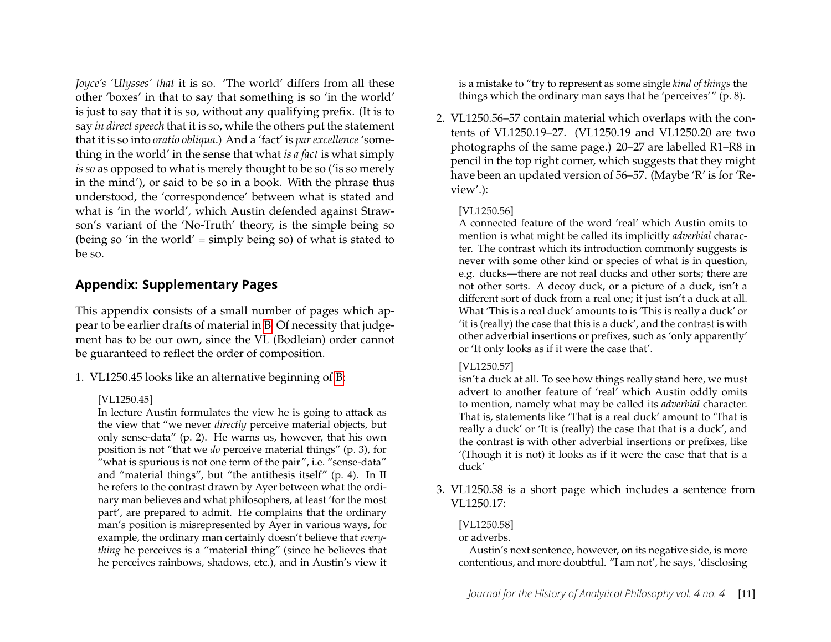*Joyce's 'Ulysses' that* it is so. 'The world' differs from all these other 'boxes' in that to say that something is so 'in the world' is just to say that it is so, without any qualifying prefix. (It is to say *in direct speech* that it is so, while the others put the statement that it is so into *oratio obliqua*.) And a 'fact' is *par excellence* 'something in the world' in the sense that what *is a fact* is what simply *is so* as opposed to what is merely thought to be so ('is so merely in the mind'), or said to be so in a book. With the phrase thus understood, the 'correspondence' between what is stated and what is 'in the world', which Austin defended against Strawson's variant of the 'No-Truth' theory, is the simple being so (being so 'in the world' = simply being so) of what is stated to be so.

# **Appendix: Supplementary Pages**

This appendix consists of a small number of pages which appear to be earlier drafts of material in [B.](#page-3-0) Of necessity that judgement has to be our own, since the VL (Bodleian) order cannot be guaranteed to reflect the order of composition.

1. VL1250.45 looks like an alternative beginning of [B:](#page-3-0)

#### [VL1250.45]

In lecture Austin formulates the view he is going to attack as the view that "we never *directly* perceive material objects, but only sense-data" (p. 2). He warns us, however, that his own position is not "that we *do* perceive material things" (p. 3), for "what is spurious is not one term of the pair", i.e. "sense-data" and "material things", but "the antithesis itself" (p. 4). In II he refers to the contrast drawn by Ayer between what the ordinary man believes and what philosophers, at least 'for the most part', are prepared to admit. He complains that the ordinary man's position is misrepresented by Ayer in various ways, for example, the ordinary man certainly doesn't believe that *everything* he perceives is a "material thing" (since he believes that he perceives rainbows, shadows, etc.), and in Austin's view it is a mistake to "try to represent as some single *kind of things* the things which the ordinary man says that he 'perceives'" (p. 8).

2. VL1250.56–57 contain material which overlaps with the contents of VL1250.19–27. (VL1250.19 and VL1250.20 are two photographs of the same page.) 20–27 are labelled R1–R8 in pencil in the top right corner, which suggests that they might have been an updated version of 56–57. (Maybe 'R' is for 'Review'.):

#### [VL1250.56]

A connected feature of the word 'real' which Austin omits to mention is what might be called its implicitly *adverbial* character. The contrast which its introduction commonly suggests is never with some other kind or species of what is in question, e.g. ducks—there are not real ducks and other sorts; there are not other sorts. A decoy duck, or a picture of a duck, isn't a different sort of duck from a real one; it just isn't a duck at all. What 'This is a real duck' amounts to is 'This is really a duck' or 'it is (really) the case that this is a duck', and the contrast is with other adverbial insertions or prefixes, such as 'only apparently' or 'It only looks as if it were the case that'.

#### [VL1250.57]

isn't a duck at all. To see how things really stand here, we must advert to another feature of 'real' which Austin oddly omits to mention, namely what may be called its *adverbial* character. That is, statements like 'That is a real duck' amount to 'That is really a duck' or 'It is (really) the case that that is a duck', and the contrast is with other adverbial insertions or prefixes, like '(Though it is not) it looks as if it were the case that that is a duck'

3. VL1250.58 is a short page which includes a sentence from VL1250.17:

#### [VL1250.58]

or adverbs.

Austin's next sentence, however, on its negative side, is more contentious, and more doubtful. "I am not', he says, 'disclosing